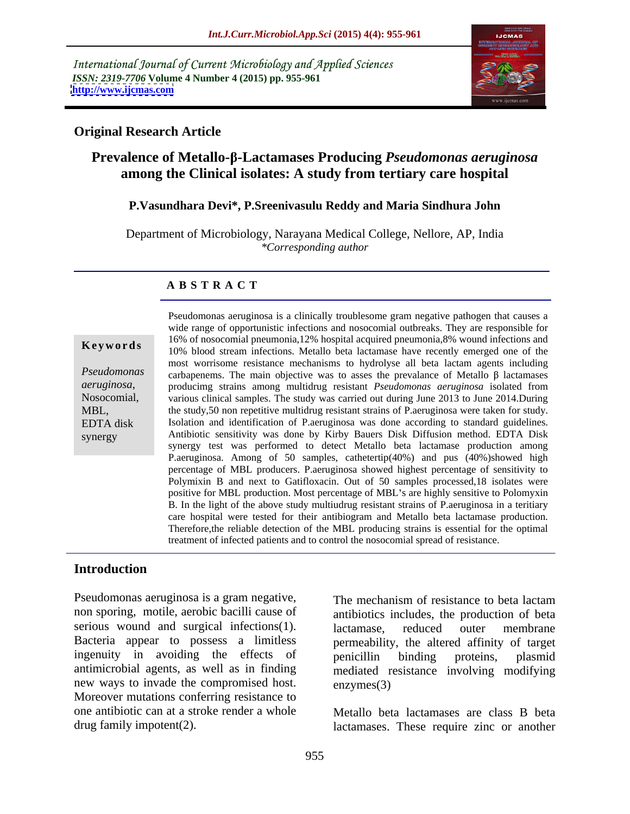International Journal of Current Microbiology and Applied Sciences *ISSN: 2319-7706* **Volume 4 Number 4 (2015) pp. 955-961 <http://www.ijcmas.com>**



## **Original Research Article**

# **Prevalence of Metallo- -Lactamases Producing** *Pseudomonas aeruginosa* **among the Clinical isolates: A study from tertiary care hospital**

# **P.Vasundhara Devi\*, P.Sreenivasulu Reddy and Maria Sindhura John**

Department of Microbiology, Narayana Medical College, Nellore, AP, India *\*Corresponding author*

### **A B S T R A C T**

synergy

Pseudomonas aeruginosa is a clinically troublesome gram negative pathogen that causes a wide range of opportunistic infections and nosocomial outbreaks. They are responsible for 16% of nosocomial pneumonia,12% hospital acquired pneumonia,8% wound infections and **Keywords** 10% blood stream infections. Metallo beta lactamase have recently emerged one of the most worrisome resistance mechanisms to hydrolyse all beta lactam agents including  $Pseudomonas$  carbapenems. The main objective was to asses the prevalance of Metallo  $\beta$  lactamases *aeruginosa*, producimg strains among multidrug resistant *Pseudomonas aeruginosa* isolated from<br>Nosocomial, various clinical samples. The study was carried out during June 2013 to June 2014. During various clinical samples. The study was carried out during June 2013 to June 2014.During MBL, the study,50 non repetitive multidrug resistant strains of P.aeruginosa were taken for study. Isolation and identification of P.aeruginosa was done according to standard guidelines. EDTA disk Antibiotic sensitivity was done by Kirby Bauers Disk Diffusion method. EDTA Disk synergy test was performed to detect Metallo beta lactamase production among P.aeruginosa. Among of 50 samples, cathetertip(40%) and pus (40%)showed high percentage of MBL producers. P.aeruginosa showed highest percentage of sensitivity to Polymixin B and next to Gatifloxacin. Out of 50 samples processed,18 isolates were positive for MBL production. Most percentage of MBL's are highly sensitive to Polomyxin B. In the light of the above study multiudrug resistant strains of P.aeruginosa in a teritiary care hospital were tested for their antibiogram and Metallo beta lactamase production. Therefore,the reliable detection of the MBL producing strains is essential for the optimal treatment of infected patients and to control the nosocomial spread of resistance.

## **Introduction**

Pseudomonas aeruginosa is a gram negative, non sporing, motile, aerobic bacilli cause of antibiotics includes, the production of beta serious wound and surgical infections(1). lactamase, reduced outer membrane Bacteria appear to possess a limitless ingenuity in avoiding the effects of penicillin binding proteins, plasmid antimicrobial agents, as well as in finding new ways to invade the compromised host. enzymes(3) Moreover mutations conferring resistance to one antibiotic can at a stroke render a whole Metallo beta lactamases are class B beta

The mechanism of resistance to beta lactam lactamase, reduced outer membrane permeability, the altered affinity of target penicillin binding proteins, plasmid mediated resistance involving modifying enzymes(3)

drug family impotent(2). lactamases. These require zinc or another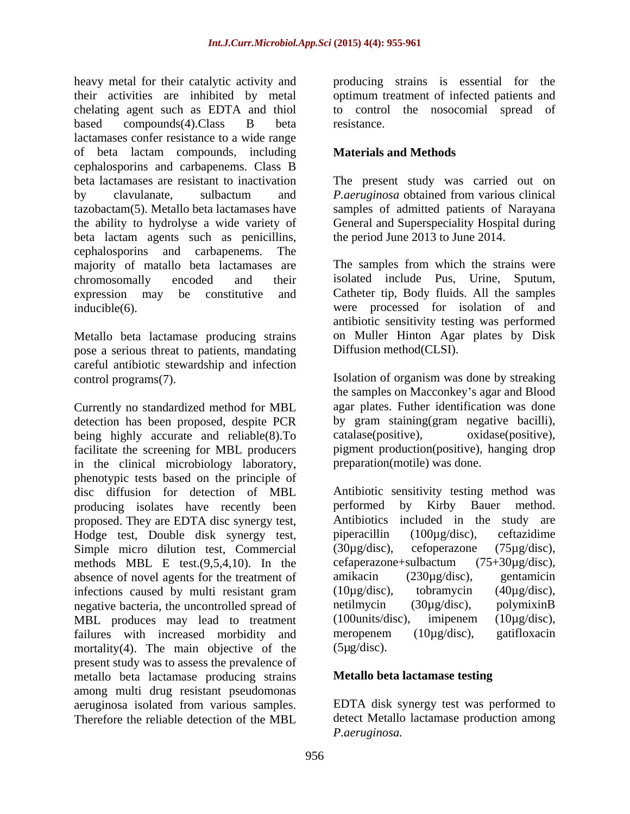heavy metal for their catalytic activity and producing strains is essential for the their activities are inhibited by metal optimum treatment of infected patients and chelating agent such as EDTA and thiol to control the nosocomial spread of based compounds(4).Class B beta resistance. lactamases confer resistance to a wide range of beta lactam compounds, including cephalosporins and carbapenems. Class B beta lactamases are resistant to inactivation The present study was carried out on by clavulanate, sulbactum and *P. aeruginosa* obtained from various clinical tazobactam(5). Metallo beta lactamases have samples of admitted patients of Narayana the ability to hydrolyse a wide variety of General and Superspeciality Hospital during beta lactam agents such as penicillins, cephalosporins and carbapenems. The majority of matallo beta lactamases are chromosomally encoded and their isolated include Pus, Urine, Sputum, expression may be constitutive and Catheter tip, Body fluids. All the samples inducible(6). were processed for isolation of and

Metallo beta lactamase producing strains pose a serious threat to patients, mandating careful antibiotic stewardship and infection

Currently no standardized method for MBL detection has been proposed, despite PCR by gram staining(gram negative bacilli), being highly accurate and reliable(8). To catalase(positive), oxidase(positive), facilitate the screening for MBL producers in the clinical microbiology laboratory, phenotypic tests based on the principle of disc diffusion for detection of MBL producing isolates have recently been berformed by Kirby Bauer method. proposed. They are EDTA disc synergy test, Hodge test, Double disk synergy test, piperacillin (100µg/disc), ceftazidime Simple micro dilution test, Commercial (30µg/disc), cefoperazone (75µg/disc), methods MBL E test.(9,5,4,10). In the cefaperazone+sulbactum  $(75+30\mu g/disc)$ ,<br>absence of novel agents for the treatment of amikacin  $(230\mu g/disc)$ , gentamicin absence of novel agents for the treatment of amikacin (230 $\mu$ g/disc), gentamicin<br>infections caused by multi resistant gram (10 $\mu$ g/disc), tobramycin (40 $\mu$ g/disc), infections caused by multi resistant gram  $(10\mu g/disc)$ , tobramycin  $(40\mu g/disc)$ , negative bacteria, the uncontrolled spread of netilmycin  $(30\mu g/disc)$ , polymixinB negative bacteria, the uncontrolled spread of a netilmycin (30µg/disc), polymixinB<br>MBL produces may lead to treatment (100units/disc), imipenem (10µg/disc), MBL produces may lead to treatment (100units/disc), imipenem (10 $\mu$ g/disc), failures with increased morbidity and meropenem (10 $\mu$ g/disc), gatifloxacin failures with increased morbidity and meropenem<br>mortality(4). The main objective of the (5µg/disc). mortality $(4)$ . The main objective of the present study was to assess the prevalence of metallo beta lactamase producing strains among multi drug resistant pseudomonas aeruginosa isolated from various samples. EDTA disk synergy test was performed to

resistance.

# **Materials and Methods**

*P.aeruginosa* obtained from various clinical the period June 2013 to June 2014.

The samples from which the strains were antibiotic sensitivity testing was performed on Muller Hinton Agar plates by Disk Diffusion method(CLSI).

control programs(7). Isolation of organism was done by streaking the samples on Macconkey's agar and Blood agar plates. Futher identification was done catalase(positive), pigment production(positive), hanging drop preparation(motile) was done.

> Antibiotic sensitivity testing method was performed by Kirby Bauer method. Antibiotics included in the study are piperacillin (100µg/disc), ceftazidime (30µg/disc), cefoperazone (75µg/disc), cefaperazone+sulbactum (75+30µg/disc), amikacin (230µg/disc), gentamicin (10µg/disc), tobramycin (40µg/disc), netilmycin (30µg/disc), polymixinB (100units/disc), imipenem (10µg/disc), meropenem (10µg/disc), gatifloxacin  $(5\mu g/disc).$

## **Metallo beta lactamase testing**

Therefore the reliable detection of the MBL detect Metallo lactamase production among *P.aeruginosa.*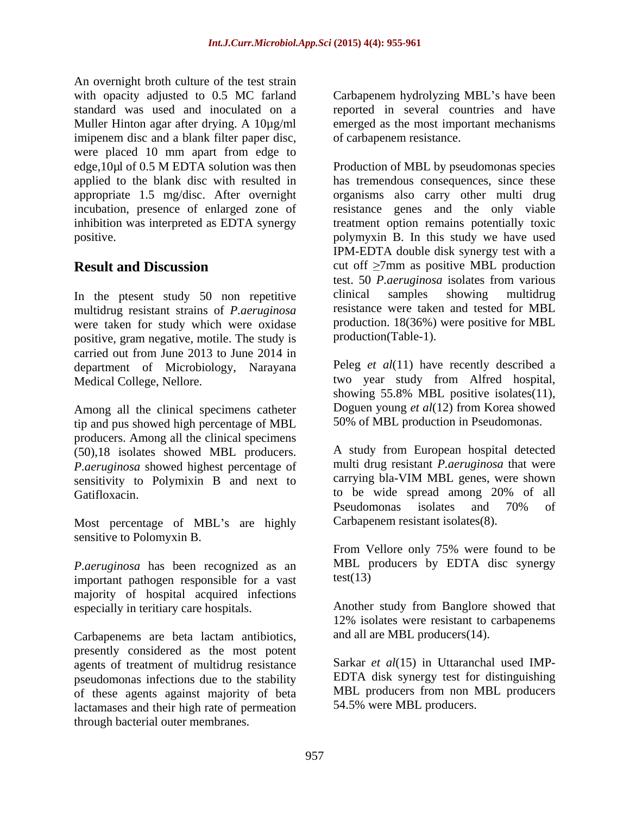An overnight broth culture of the test strain with opacity adjusted to 0.5 MC farland Carbapenem hydrolyzing MBL's have been standard was used and inoculated on a several countriesand have Muller Hinton agar after drying. A 10µg/ml emerged as the most important mechanisms imipenem disc and a blank filter paper disc, were placed 10 mm apart from edge to

multidrug resistant strains of *P.aeruginosa* were taken for study which were oxidase positive, gram negative, motile. The study is<br>carried out from June 2013 to June 2014 in carried out from June 2013 to June 2014 in department of Microbiology, Narayana

Among all the clinical specimens catheter tip and pus showed high percentage of MBL producers. Among all the clinical specimens (50),18 isolates showed MBL producers. *P.aeruginosa* showed highest percentage of sensitivity to Polymixin B and next to

Most percentage of MBL's are highly sensitive to Polomyxin B.

*P.aeruginosa* has been recognized as an MBL p<br>important pathogen responsible for a vast test(13) important pathogen responsible for a vast majority of hospital acquired infections especially in teritiary care hospitals.

Carbapenems are beta lactam antibiotics, presently considered as the most potent agents of treatment of multidrug resistance pseudomonas infections due to the stability of these agents against majority of beta lactamases and their high rate of permeation through bacterial outer membranes.

of carbapenem resistance.

edge,10µl of 0.5 M EDTA solution was then Production of MBL by pseudomonas species applied to the blank disc with resulted in has tremendous consequences, since these appropriate 1.5 mg/disc. After overnight organisms also carry other multi drug incubation, presence of enlarged zone of resistance genes and the only viable inhibition was interpreted as EDTA synergy treatment option remains potentially toxic positive. polymyxin B. In this study we have used **Result and Discussion** cut off  $\geq 7$ mm as positive MBL production In the ptesent study 50 non repetitive clinical samples showing multidrug IPM-EDTA double disk synergy test with a test. 50 *P.aeruginosa* isolates from various clinical samples showing multidrug resistance were taken and tested for MBL production. 18(36%) were positive for MBL production(Table-1).

Medical College, Nellore. two year study from Alfred hospital, Peleg *et al*(11) have recently described a showing 55.8% MBL positive isolates(11), Doguen young *et al*(12) from Korea showed 50% of MBL production in Pseudomonas.

Gatifloxacin. Catifloxacin. Catifloxacin. Catifloxacin. Compared to be wide spread among 20% of all  $P$ seudomonas isolates and 70% of A study from European hospital detected multi drug resistant *P.aeruginosa* that were carrying bla-VIM MBL genes, were shown to be wide spread among 20% of all Pseudomonas isolates and 70% of Carbapenem resistant isolates(8).

> From Vellore only 75% were found to be MBL producers by EDTA disc synergy  $test(13)$

Another study from Banglore showed that 12% isolates were resistant to carbapenems and all are MBL producers(14).

Sarkar *et al*(15) in Uttaranchal used IMP- EDTA disk synergy test for distinguishing MBL producers from non MBL producers 54.5% were MBL producers.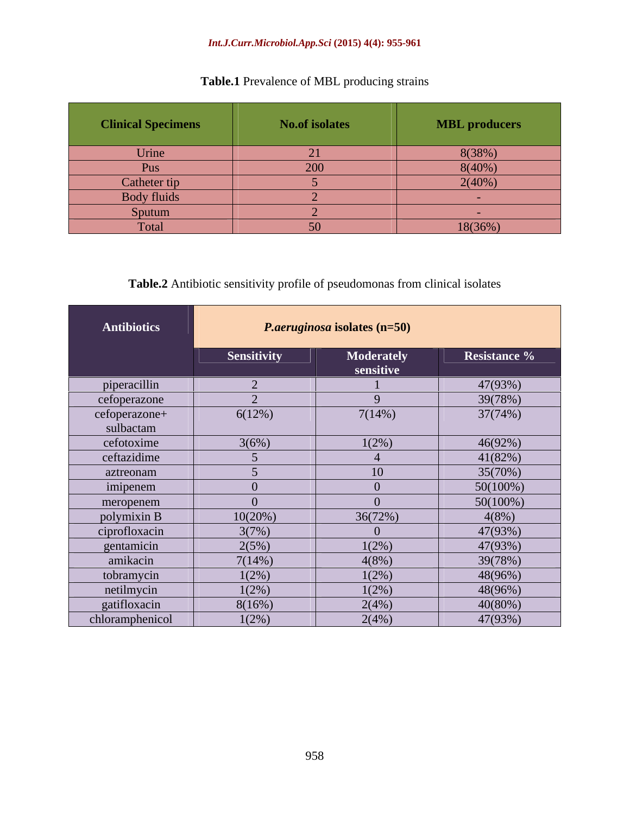### *Int.J.Curr.Microbiol.App.Sci* **(2015) 4(4): 955-961**

| <b>Clinical Specimens</b> | No.of isolates | <b>MBL</b> producers |
|---------------------------|----------------|----------------------|
| Urine                     |                | 8(38%)               |
| <b>Pus</b>                | 200            | 8(40%)               |
| Catheter tip              |                | 2(40%)               |
| Body fluids               |                |                      |
| Sputum                    |                |                      |
| Total                     |                | 18(36%)              |

# **Table.1** Prevalence of MBL producing strains

# **Table.2** Antibiotic sensitivity profile of pseudomonas from clinical isolates

| <b>Antibiotics</b> |                    | <i>P.aeruginosa</i> isolates (n=50) |              |
|--------------------|--------------------|-------------------------------------|--------------|
|                    | <b>Sensitivity</b> | <b>Moderately</b><br>sensitive      | Resistance % |
| piperacillin       |                    |                                     | 47(93%)      |
| cefoperazone       |                    |                                     | 39(78%)      |
| cefoperazone+      | 6(12%)             | 7(14%)                              | 37(74%)      |
| sulbactam          |                    |                                     |              |
| cefotoxime         | 3(6%)              | $1(2\%)$                            | 46(92%)      |
| ceftazidime        |                    |                                     | 41(82%)      |
| aztreonam          |                    |                                     | 35(70%)      |
| imipenem           |                    |                                     | $50(100\%)$  |
| meropenem          |                    |                                     | $50(100\%)$  |
| polymixin B        | 10(20%)            | 36(72%)                             | $4(8\%)$     |
| ciprofloxacin      | 3(7%)              |                                     | 47(93%)      |
| gentamicin         | 2(5%)              | $1(2\%)$                            | 47(93%)      |
| amikacin           | 7(14%)             | 4(8%)                               | 39(78%)      |
| tobramycin         | $1(2\%)$           | $1(2\%)$                            | 48(96%)      |
| netilmycin         | $1(2\%)$           | $1(2\%)$                            | 48(96%)      |
| gatifloxacin       | 8(16%)             | 2(4%)                               | $40(80\%)$   |
| chloramphenicol    | $1(2\%)$           | 2(4%)                               | 47(93%)      |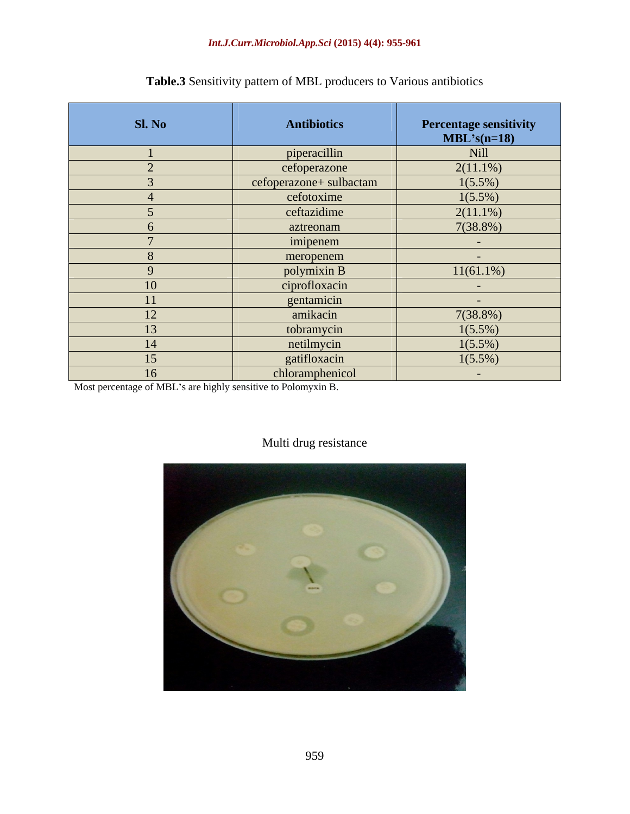| Sl. No | Antibiotics             |                                       |
|--------|-------------------------|---------------------------------------|
|        |                         | Percentage sensitivity<br>MBL's(n=18) |
|        | piperacillin            | Nill                                  |
|        | cefoperazone            | $2(11.1\%)$                           |
|        | cefoperazone+ sulbactam | $1(5.5\%)$                            |
|        | cefotoxime              | $1(5.5\%)$                            |
|        | ceftazidime             | $2(11.1\%)$                           |
|        | aztreonam               | $7(38.8\%)$                           |
|        | imipenem                | <b>Contract Contract</b>              |
|        | meropenem               | <b>Contract Contract</b>              |
|        | polymixin B             | $11(61.1\%)$                          |
| 10     | ciprofloxacin           | <b>Contract Contract</b>              |
| 11     | gentamicin              | <b>Contract Contract</b>              |
| 12     | amikacin                | $7(38.8\%)$                           |
| 13     | tobramycin              | $1(5.5\%)$                            |
| 14     | netilmycin              | $1(5.5\%)$                            |
| 15     | gatifloxacin            | $1(5.5\%)$                            |
| 16     | chloramphenicol         | <b>Service</b>                        |

# **Table.3** Sensitivity pattern of MBL producers to Various antibiotics

Most percentage of MBL's are highly sensitive to Polomyxin B.

# Multi drug resistance

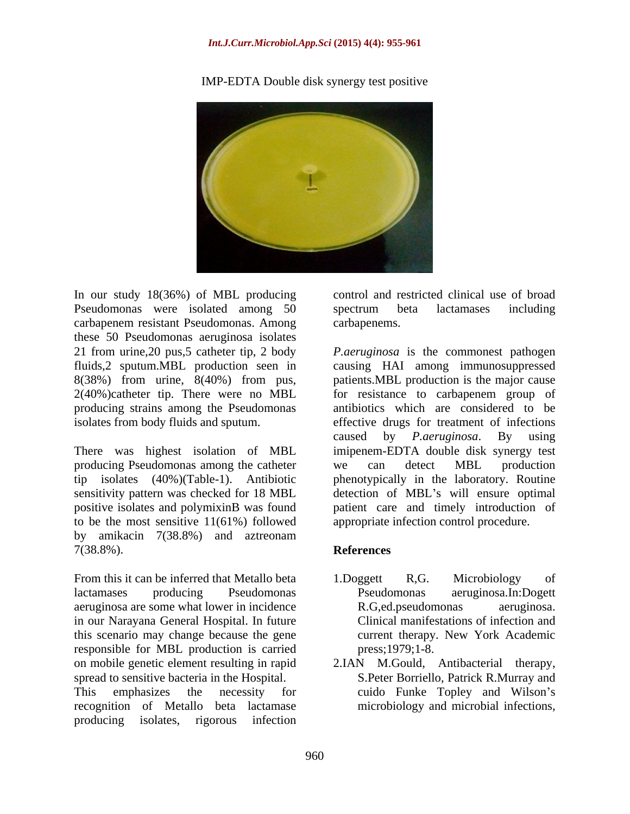#### *Int.J.Curr.Microbiol.App.Sci* **(2015) 4(4): 955-961**



#### IMP-EDTA Double disk synergy test positive

In our study 18(36%) of MBL producing Pseudomonas were isolated among 50 spectrum beta lactamases including carbapenem resistant Pseudomonas. Among these 50 Pseudomonas aeruginosa isolates producing strains among the Pseudomonas

There was highest isolation of MBL producing Pseudomonas among the catheter to be the most sensitive 11(61%) followed by amikacin 7(38.8%) and aztreonam 7(38.8%).

From this it can be inferred that Metallo beta 1. Doggett R.G. Microbiology of lactamases producing Pseudomonas Pseudomonas aeruginosa.In:Dogett aeruginosa are some what lower in incidence in our Narayana General Hospital. In future this scenario may change because the gene responsible for MBL production is carried on mobile genetic element resulting in rapid spread to sensitive bacteria in the Hospital. This emphasizes the necessity for cuido Funke Topley and Wilson's recognition of Metallo beta lactamase producing isolates, rigorous infection

control and restricted clinical use of broad spectrum beta lactamases including carbapenems.

21 from urine,20 pus,5 catheter tip, 2 body *P.aeruginosa* is the commonest pathogen fluids,2 sputum.MBL production seen in causing HAI among immunosuppressed 8(38%) from urine, 8(40%) from pus, patients.MBL production is the major cause 2(40%)catheter tip. There were no MBL for resistance to carbapenem group of isolates from body fluids and sputum. effective drugs for treatment of infections tip isolates (40%)(Table-1). Antibiotic phenotypically in the laboratory. Routine sensitivity pattern was checked for 18 MBL detection of MBL's will ensure optimal positive isolates and polymixinB was found patient care and timely introduction of antibiotics which are considered to be caused by *P.aeruginosa*. By using imipenem-EDTA double disk synergy test we can detect MBL production appropriate infection control procedure.

#### **References**

- 1.Doggett R,G. Microbiology of Pseudomonas aeruginosa.In:Dogett R.G,ed.pseudomonas aeruginosa. Clinical manifestations of infection and current therapy. New York Academic press;1979;1-8.
- 2.IAN M.Gould, Antibacterial therapy, S.Peter Borriello, Patrick R.Murray and microbiology and microbial infections,